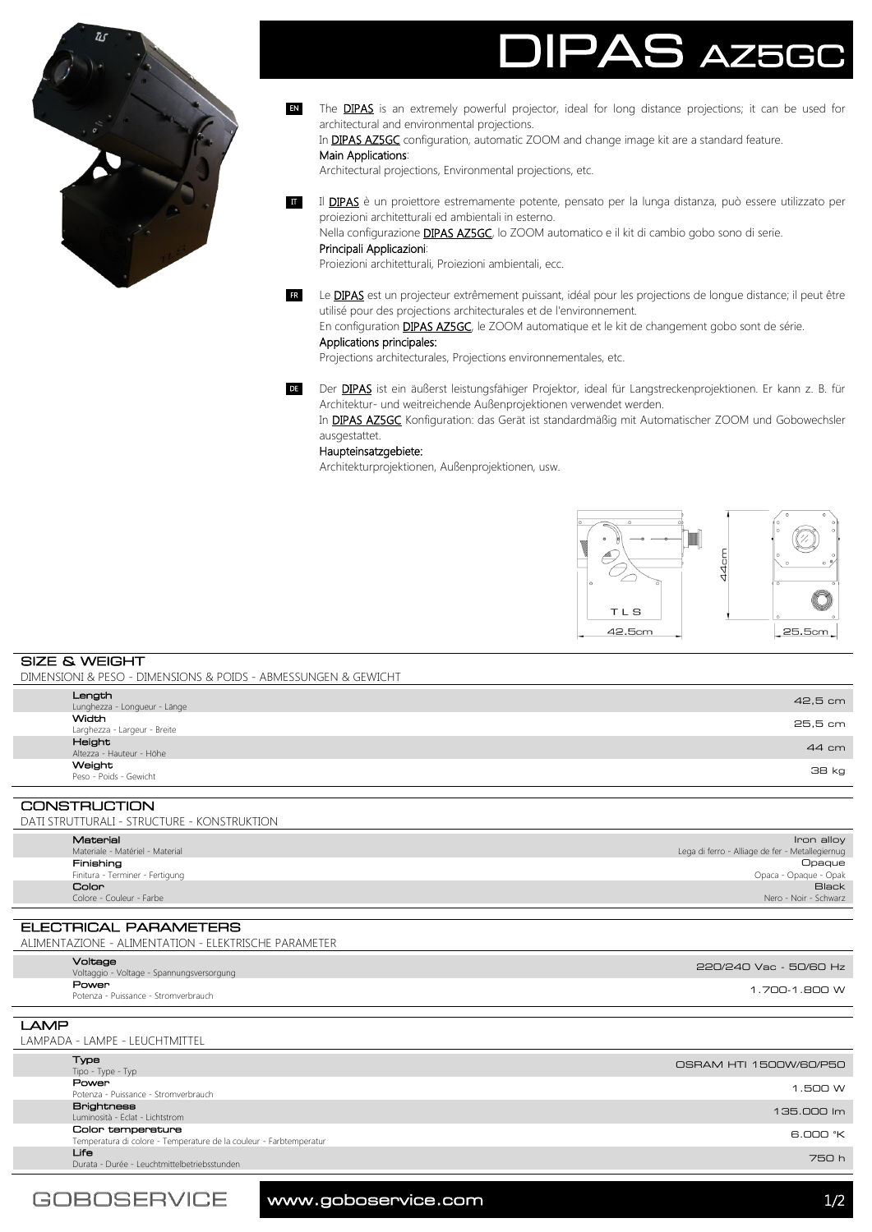

# 5 A750

The **DIPAS** is an extremely powerful projector, ideal for long distance projections; it can be used for architectural and environmental projections. EN

In DIPAS AZ5GC configuration, automatic ZOOM and change image kit are a standard feature.

## Main Applications:

Architectural projections, Environmental projections, etc.

II DIPAS è un proiettore estremamente potente, pensato per la lunga distanza, può essere utilizzato per proiezioni architetturali ed ambientali in esterno.

Nella configurazione **DIPAS AZ5GC**, lo ZOOM automatico e il kit di cambio gobo sono di serie. Principali Applicazioni:

Proiezioni architetturali, Proiezioni ambientali, ecc.

Le **DIPAS** est un projecteur extrêmement puissant, idéal pour les projections de longue distance; il peut être utilisé pour des projections architecturales et de l'environnement. FR

En configuration **DIPAS AZ5GC**, le ZOOM automatique et le kit de changement gobo sont de série. Applications principales:

Projections architecturales, Projections environnementales, etc.

DE Der DIPAS ist ein äußerst leistungsfähiger Projektor, ideal für Langstreckenprojektionen. Er kann z. B. für Architektur- und weitreichende Außenprojektionen verwendet werden.

In **DIPAS AZ5GC** Konfiguration: das Gerät ist standardmäßig mit Automatischer ZOOM und Gobowechsler ausgestattet.

### Haupteinsatzgebiete:

Architekturprojektionen, Außenprojektionen, usw.



SIZE & WEIGHT DIMENSIONI & PESO - DIMENSIONS & POIDS - ABMESSUNGEN & GEWICHT

| CONSTRUCTION                 |              |
|------------------------------|--------------|
|                              |              |
| Peso - Poids - Gewicht       |              |
| Weight                       | <b>38 kg</b> |
| Altezza - Hauteur - Höhe     |              |
| Height                       | 44 cm        |
| Larghezza - Largeur - Breite |              |
| Width                        | 25,5 cm      |
| Lunghezza - Longueur - Länge |              |
| Length                       | 42,5 cm      |
|                              |              |

CONSTRUCTION DATI STRUTTURALI - STRUCTURE - KONSTRUKTION

| Material                        | Iron alloy                                      |  |
|---------------------------------|-------------------------------------------------|--|
| Materiale - Matériel - Material | Lega di ferro - Alliage de fer - Metallegiernug |  |
| Finishing                       | Opaque                                          |  |
| Finitura - Terminer - Fertigung | Opaca - Opaque - Opak                           |  |
| Color                           | <b>Black</b>                                    |  |
| Colore - Couleur - Farbe        | Nero - Noir - Schwarz                           |  |

ELECTRICAL PARAMETERS ALIMENTAZIONE - ALIMENTATION - ELEKTRISCHE PARAMETER

| Voltage<br>Voltaggio - Voltage - Spannungsversorgung | 220/240 Vac - 50/60 Hz |
|------------------------------------------------------|------------------------|
| Power<br>Potenza - Puissance - Stromverbrauch        | 1.700-1.800 W          |
|                                                      |                        |

LAMP LAMPADA - LAMPE - LEUCHTMITTEL

| <b>Type</b><br>Tipo - Type - Typ                                                        | OSRAM HTI 1500W/60/P50 |
|-----------------------------------------------------------------------------------------|------------------------|
| <b>Power</b><br>Potenza - Puissance - Stromverbrauch                                    | 1.500 W                |
| <b>Brightness</b><br>Luminosità - Eclat - Lichtstrom                                    | 135.000 lm             |
| Color temperature<br>Temperatura di colore - Temperature de la couleur - Farbtemperatur | 6.000 °K               |
| Life<br>Durata - Durée - Leuchtmittelbetriebsstunden                                    | 750 h                  |

www.goboservice.com and the state of  $1/2$